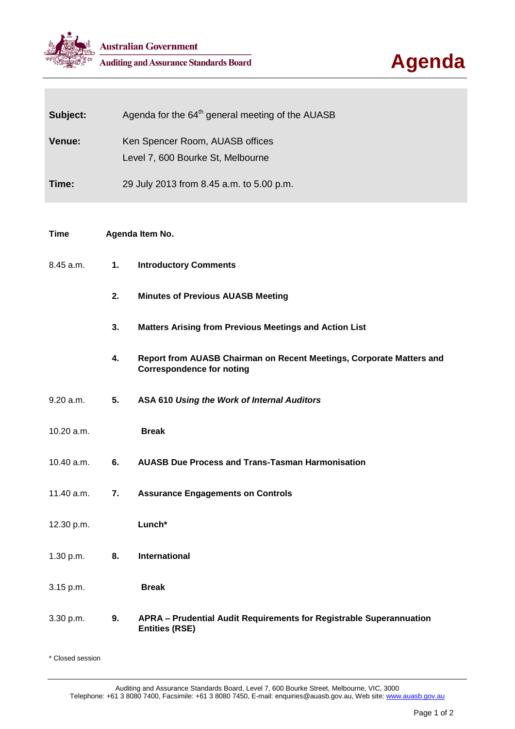



| Subject:    | Agenda for the 64 <sup>th</sup> general meeting of the AUASB         |                                                                                                          |
|-------------|----------------------------------------------------------------------|----------------------------------------------------------------------------------------------------------|
| Venue:      | Ken Spencer Room, AUASB offices<br>Level 7, 600 Bourke St, Melbourne |                                                                                                          |
| Time:       |                                                                      | 29 July 2013 from 8.45 a.m. to 5.00 p.m.                                                                 |
|             |                                                                      |                                                                                                          |
| <b>Time</b> | Agenda Item No.                                                      |                                                                                                          |
| 8.45 a.m.   | 1.                                                                   | <b>Introductory Comments</b>                                                                             |
|             | 2.                                                                   | <b>Minutes of Previous AUASB Meeting</b>                                                                 |
|             | 3.                                                                   | <b>Matters Arising from Previous Meetings and Action List</b>                                            |
|             | 4.                                                                   | Report from AUASB Chairman on Recent Meetings, Corporate Matters and<br><b>Correspondence for noting</b> |
| 9.20 a.m.   | 5.                                                                   | ASA 610 Using the Work of Internal Auditors                                                              |
| 10.20 a.m.  |                                                                      | <b>Break</b>                                                                                             |
| 10.40 a.m.  | 6.                                                                   | <b>AUASB Due Process and Trans-Tasman Harmonisation</b>                                                  |
| 11.40 a.m.  | 7.                                                                   | <b>Assurance Engagements on Controls</b>                                                                 |
| 12.30 p.m.  |                                                                      | Lunch*                                                                                                   |
| 1.30 p.m.   | 8.                                                                   | <b>International</b>                                                                                     |
| 3.15 p.m.   |                                                                      | <b>Break</b>                                                                                             |
| 3.30 p.m.   | 9.                                                                   | APRA - Prudential Audit Requirements for Registrable Superannuation<br><b>Entities (RSE)</b>             |

\* Closed session